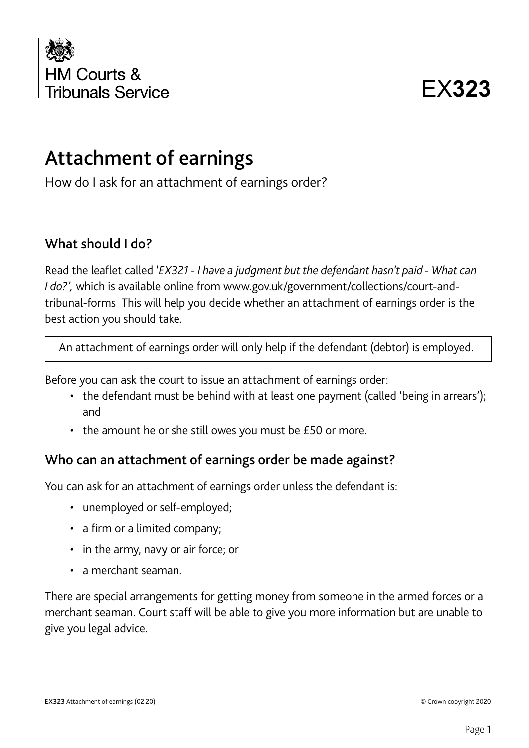

EX**323**

# Attachment of earnings

How do I ask for an attachment of earnings order?

#### What should I do?

Read the leaflet called '*EX321 - I have a judgment but the defendant hasn't paid - What can I do?',* which is available online from www.gov.uk/government/collections/court-andtribunal-forms This will help you decide whether an attachment of earnings order is the best action you should take.

An attachment of earnings order will only help if the defendant (debtor) is employed.

Before you can ask the court to issue an attachment of earnings order:

- the defendant must be behind with at least one payment (called 'being in arrears'); and
- the amount he or she still owes you must be £50 or more.

#### Who can an attachment of earnings order be made against?

You can ask for an attachment of earnings order unless the defendant is:

- unemployed or self-employed;
- a firm or a limited company;
- in the army, navy or air force; or
- a merchant seaman.

There are special arrangements for getting money from someone in the armed forces or a merchant seaman. Court staff will be able to give you more information but are unable to give you legal advice.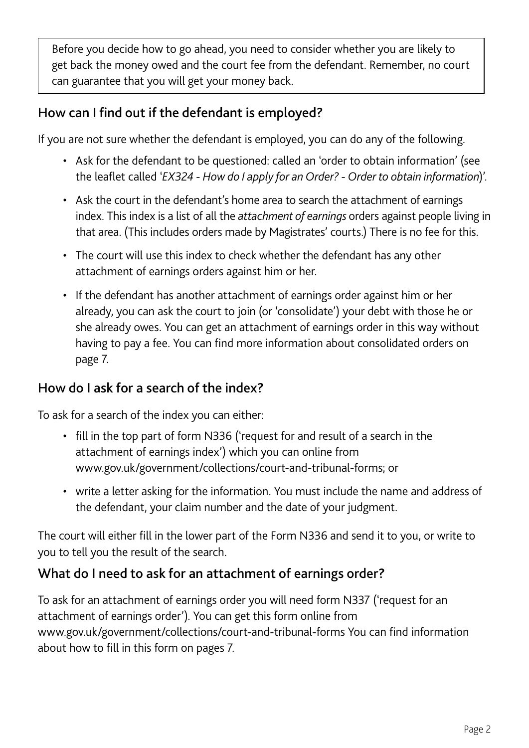Before you decide how to go ahead, you need to consider whether you are likely to get back the money owed and the court fee from the defendant. Remember, no court can guarantee that you will get your money back.

# How can I find out if the defendant is employed?

If you are not sure whether the defendant is employed, you can do any of the following.

- Ask for the defendant to be questioned: called an 'order to obtain information' (see the leaflet called '*EX324 - How do I apply for an Order? - Order to obtain information*)'.
- Ask the court in the defendant's home area to search the attachment of earnings index. This index is a list of all the *attachment of earnings* orders against people living in that area. (This includes orders made by Magistrates' courts.) There is no fee for this.
- The court will use this index to check whether the defendant has any other attachment of earnings orders against him or her.
- If the defendant has another attachment of earnings order against him or her already, you can ask the court to join (or 'consolidate') your debt with those he or she already owes. You can get an attachment of earnings order in this way without having to pay a fee. You can find more information about consolidated orders on page 7.

#### How do I ask for a search of the index?

To ask for a search of the index you can either:

- fill in the top part of form N336 ('request for and result of a search in the attachment of earnings index') which you can online from www.gov.uk/government/collections/court-and-tribunal-forms; or
- write a letter asking for the information. You must include the name and address of the defendant, your claim number and the date of your judgment.

The court will either fill in the lower part of the Form N336 and send it to you, or write to you to tell you the result of the search.

## What do I need to ask for an attachment of earnings order?

To ask for an attachment of earnings order you will need form N337 ('request for an attachment of earnings order'). You can get this form online from www.gov.uk/government/collections/court-and-tribunal-forms You can find information about how to fill in this form on pages 7.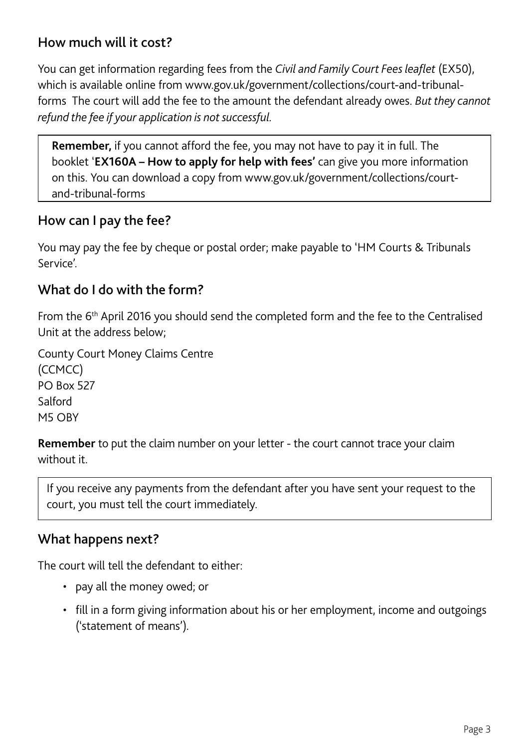## How much will it cost?

You can get information regarding fees from the *Civil and Family Court Fees leaflet* (EX50), which is available online from www.gov.uk/government/collections/court-and-tribunalforms The court will add the fee to the amount the defendant already owes. *But they cannot refund the fee if your application is not successful.*

**Remember,** if you cannot afford the fee, you may not have to pay it in full. The booklet '**EX160A – How to apply for help with fees'** can give you more information on this. You can download a copy from www.gov.uk/government/collections/courtand-tribunal-forms

#### How can I pay the fee?

You may pay the fee by cheque or postal order; make payable to 'HM Courts & Tribunals Service'.

#### What do I do with the form?

From the 6th April 2016 you should send the completed form and the fee to the Centralised Unit at the address below;

County Court Money Claims Centre (CCMCC) PO Box 527 **Salford** M5 OBY

**Remember** to put the claim number on your letter - the court cannot trace your claim without it.

If you receive any payments from the defendant after you have sent your request to the court, you must tell the court immediately.

#### What happens next?

The court will tell the defendant to either:

- pay all the money owed; or
- fill in a form giving information about his or her employment, income and outgoings ('statement of means').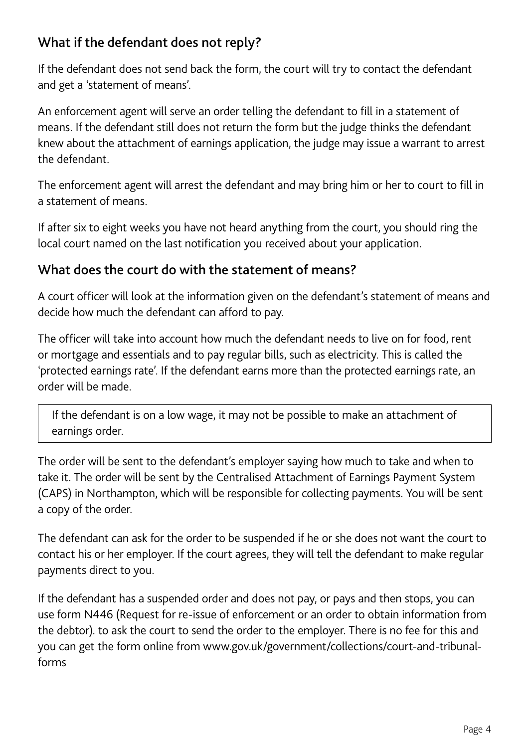# What if the defendant does not reply?

If the defendant does not send back the form, the court will try to contact the defendant and get a 'statement of means'.

An enforcement agent will serve an order telling the defendant to fill in a statement of means. If the defendant still does not return the form but the judge thinks the defendant knew about the attachment of earnings application, the judge may issue a warrant to arrest the defendant.

The enforcement agent will arrest the defendant and may bring him or her to court to fill in a statement of means.

If after six to eight weeks you have not heard anything from the court, you should ring the local court named on the last notification you received about your application.

## What does the court do with the statement of means?

A court officer will look at the information given on the defendant's statement of means and decide how much the defendant can afford to pay.

The officer will take into account how much the defendant needs to live on for food, rent or mortgage and essentials and to pay regular bills, such as electricity. This is called the 'protected earnings rate'. If the defendant earns more than the protected earnings rate, an order will be made.

If the defendant is on a low wage, it may not be possible to make an attachment of earnings order.

The order will be sent to the defendant's employer saying how much to take and when to take it. The order will be sent by the Centralised Attachment of Earnings Payment System (CAPS) in Northampton, which will be responsible for collecting payments. You will be sent a copy of the order.

The defendant can ask for the order to be suspended if he or she does not want the court to contact his or her employer. If the court agrees, they will tell the defendant to make regular payments direct to you.

If the defendant has a suspended order and does not pay, or pays and then stops, you can use form N446 (Request for re-issue of enforcement or an order to obtain information from the debtor). to ask the court to send the order to the employer. There is no fee for this and you can get the form online from www.gov.uk/government/collections/court-and-tribunalforms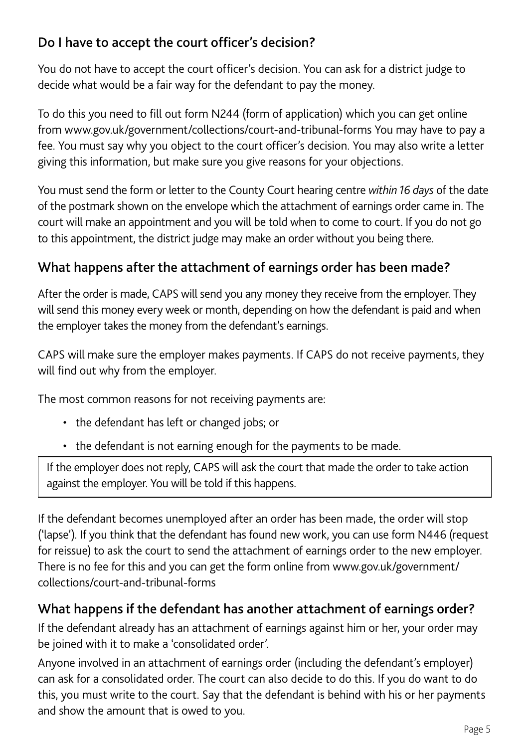# Do I have to accept the court officer's decision?

You do not have to accept the court officer's decision. You can ask for a district judge to decide what would be a fair way for the defendant to pay the money.

To do this you need to fill out form N244 (form of application) which you can get online from www.gov.uk/government/collections/court-and-tribunal-forms You may have to pay a fee. You must say why you object to the court officer's decision. You may also write a letter giving this information, but make sure you give reasons for your objections.

You must send the form or letter to the County Court hearing centre *within 16 days* of the date of the postmark shown on the envelope which the attachment of earnings order came in. The court will make an appointment and you will be told when to come to court. If you do not go to this appointment, the district judge may make an order without you being there.

## What happens after the attachment of earnings order has been made?

After the order is made, CAPS will send you any money they receive from the employer. They will send this money every week or month, depending on how the defendant is paid and when the employer takes the money from the defendant's earnings.

CAPS will make sure the employer makes payments. If CAPS do not receive payments, they will find out why from the employer.

The most common reasons for not receiving payments are:

- the defendant has left or changed jobs; or
- the defendant is not earning enough for the payments to be made.

If the employer does not reply, CAPS will ask the court that made the order to take action against the employer. You will be told if this happens.

If the defendant becomes unemployed after an order has been made, the order will stop ('lapse'). If you think that the defendant has found new work, you can use form N446 (request for reissue) to ask the court to send the attachment of earnings order to the new employer. There is no fee for this and you can get the form online from www.gov.uk/government/ collections/court-and-tribunal-forms

## What happens if the defendant has another attachment of earnings order?

If the defendant already has an attachment of earnings against him or her, your order may be joined with it to make a 'consolidated order'.

Anyone involved in an attachment of earnings order (including the defendant's employer) can ask for a consolidated order. The court can also decide to do this. If you do want to do this, you must write to the court. Say that the defendant is behind with his or her payments and show the amount that is owed to you.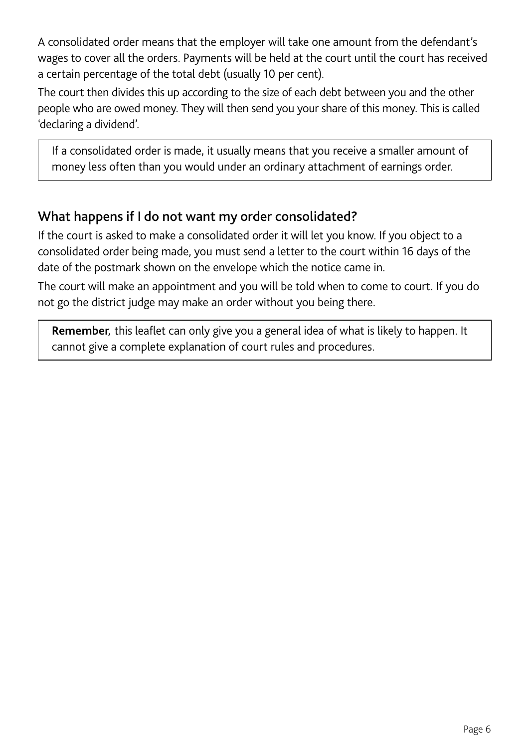A consolidated order means that the employer will take one amount from the defendant's wages to cover all the orders. Payments will be held at the court until the court has received a certain percentage of the total debt (usually 10 per cent).

The court then divides this up according to the size of each debt between you and the other people who are owed money. They will then send you your share of this money. This is called 'declaring a dividend'.

If a consolidated order is made, it usually means that you receive a smaller amount of money less often than you would under an ordinary attachment of earnings order.

## What happens if I do not want my order consolidated?

If the court is asked to make a consolidated order it will let you know. If you object to a consolidated order being made, you must send a letter to the court within 16 days of the date of the postmark shown on the envelope which the notice came in.

The court will make an appointment and you will be told when to come to court. If you do not go the district judge may make an order without you being there.

**Remember***,* this leaflet can only give you a general idea of what is likely to happen. It cannot give a complete explanation of court rules and procedures.